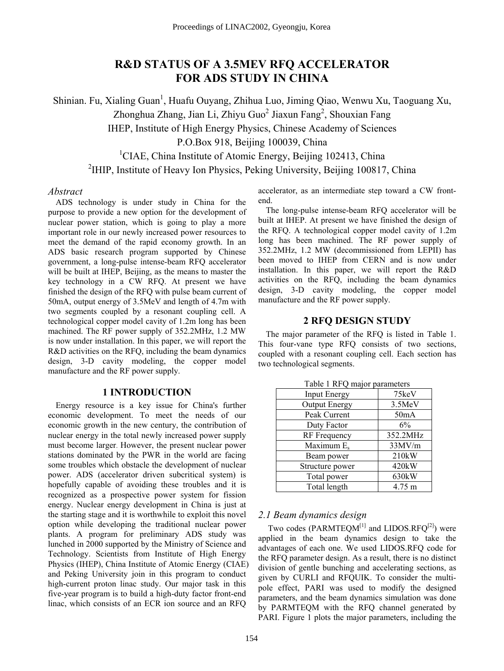# **R&D STATUS OF A 3.5MEV RFQ ACCELERATOR FOR ADS STUDY IN CHINA**

Shinian. Fu, Xialing Guan<sup>1</sup>, Huafu Ouyang, Zhihua Luo, Jiming Qiao, Wenwu Xu, Taoguang Xu, Zhonghua Zhang, Jian Li, Zhiyu Guo<sup>2</sup> Jiaxun Fang<sup>2</sup>, Shouxian Fang IHEP, Institute of High Energy Physics, Chinese Academy of Sciences P.O.Box 918, Beijing 100039, China <sup>1</sup>CIAE, China Institute of Atomic Energy, Beijing 102413, China <sup>2</sup>IHIP, Institute of Heavy Ion Physics, Peking University, Beijing 100817, China

#### *Abstract*

ADS technology is under study in China for the purpose to provide a new option for the development of nuclear power station, which is going to play a more important role in our newly increased power resources to meet the demand of the rapid economy growth. In an ADS basic research program supported by Chinese government, a long-pulse intense-beam RFQ accelerator will be built at IHEP, Beijing, as the means to master the key technology in a CW RFQ. At present we have finished the design of the RFQ with pulse beam current of 50mA, output energy of 3.5MeV and length of 4.7m with two segments coupled by a resonant coupling cell. A technological copper model cavity of 1.2m long has been machined. The RF power supply of 352.2MHz, 1.2 MW is now under installation. In this paper, we will report the R&D activities on the RFQ, including the beam dynamics design, 3-D cavity modeling, the copper model manufacture and the RF power supply.

## **1 INTRODUCTION**

Energy resource is a key issue for China's further economic development. To meet the needs of our economic growth in the new century, the contribution of nuclear energy in the total newly increased power supply must become larger. However, the present nuclear power stations dominated by the PWR in the world are facing some troubles which obstacle the development of nuclear power. ADS (accelerator driven subcritical system) is hopefully capable of avoiding these troubles and it is recognized as a prospective power system for fission energy. Nuclear energy development in China is just at the starting stage and it is worthwhile to exploit this novel option while developing the traditional nuclear power plants. A program for preliminary ADS study was lunched in 2000 supported by the Ministry of Science and Technology. Scientists from Institute of High Energy Physics (IHEP), China Institute of Atomic Energy (CIAE) and Peking University join in this program to conduct high-current proton linac study. Our major task in this five-year program is to build a high-duty factor front-end linac, which consists of an ECR ion source and an RFQ

accelerator, as an intermediate step toward a CW frontend.

The long-pulse intense-beam RFQ accelerator will be built at IHEP. At present we have finished the design of the RFQ. A technological copper model cavity of 1.2m long has been machined. The RF power supply of 352.2MHz, 1.2 MW (decommissioned from LEPII) has been moved to IHEP from CERN and is now under installation. In this paper, we will report the R&D activities on the RFQ, including the beam dynamics design, 3-D cavity modeling, the copper model manufacture and the RF power supply.

## **2 RFQ DESIGN STUDY**

The major parameter of the RFQ is listed in Table 1. This four-vane type RFQ consists of two sections, coupled with a resonant coupling cell. Each section has two technological segments.

| $140\%$ TVI $\vee$ major parameters |                   |
|-------------------------------------|-------------------|
| <b>Input Energy</b>                 | 75keV             |
| <b>Output Energy</b>                | 3.5MeV            |
| Peak Current                        | 50 <sub>m</sub> A |
| Duty Factor                         | 6%                |
| <b>RF</b> Frequency                 | 352.2MHz          |
| Maximum E <sub>s</sub>              | 33MV/m            |
| Beam power                          | 210kW             |
| Structure power                     | 420kW             |
| Total power                         | 630kW             |
| Total length                        | 4.75 m            |

Table 1 RFQ major parameters

## *2.1 Beam dynamics design*

Two codes (PARMTEQM $^{[1]}$  and LIDOS.RFQ $^{[2]}$ ) were applied in the beam dynamics design to take the advantages of each one. We used LIDOS.RFQ code for the RFQ parameter design. As a result, there is no distinct division of gentle bunching and accelerating sections, as given by CURLI and RFQUIK. To consider the multipole effect, PARI was used to modify the designed parameters, and the beam dynamics simulation was done by PARMTEQM with the RFQ channel generated by PARI. Figure 1 plots the major parameters, including the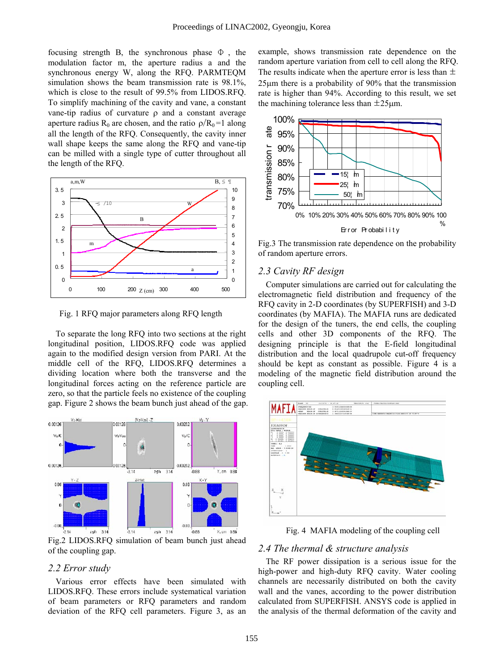focusing strength B, the synchronous phase  $\Phi$ , the modulation factor m, the aperture radius a and the synchronous energy W, along the RFQ. PARMTEQM simulation shows the beam transmission rate is 98.1%, which is close to the result of 99.5% from LIDOS.RFQ. To simplify machining of the cavity and vane, a constant vane-tip radius of curvature ρ and a constant average aperture radius R<sub>0</sub> are chosen, and the ratio  $\rho/R_0 =1$  along all the length of the RFQ. Consequently, the cavity inner wall shape keeps the same along the RFQ and vane-tip can be milled with a single type of cutter throughout all the length of the RFQ.



Fig. 1 RFQ major parameters along RFQ length

To separate the long RFQ into two sections at the right longitudinal position, LIDOS.RFQ code was applied again to the modified design version from PARI. At the middle cell of the RFQ, LIDOS.RFQ determines a dividing location where both the transverse and the longitudinal forces acting on the reference particle are zero, so that the particle feels no existence of the coupling gap. Figure 2 shows the beam bunch just ahead of the gap.



Fig.2 LIDOS.RFQ simulation of beam bunch just ahead of the coupling gap.

## *2.2 Error study*

Various error effects have been simulated with LIDOS.RFQ. These errors include systematical variation of beam parameters or RFQ parameters and random deviation of the RFQ cell parameters. Figure 3, as an

example, shows transmission rate dependence on the random aperture variation from cell to cell along the RFQ. The results indicate when the aperture error is less than  $\pm$ 25µm there is a probability of 90% that the transmission rate is higher than 94%. According to this result, we set the machining tolerance less than  $\pm 25 \mu m$ .



Fig.3 The transmission rate dependence on the probability of random aperture errors.

## *2.3 Cavity RF design*

Computer simulations are carried out for calculating the electromagnetic field distribution and frequency of the RFQ cavity in 2-D coordinates (by SUPERFISH) and 3-D coordinates (by MAFIA). The MAFIA runs are dedicated for the design of the tuners, the end cells, the coupling cells and other 3D components of the RFQ. The designing principle is that the E-field longitudinal distribution and the local quadrupole cut-off frequency should be kept as constant as possible. Figure 4 is a modeling of the magnetic field distribution around the coupling cell.



Fig. 4 MAFIA modeling of the coupling cell

#### *2.4 The thermal & structure analysis*

The RF power dissipation is a serious issue for the high-power and high-duty RFQ cavity. Water cooling channels are necessarily distributed on both the cavity wall and the vanes, according to the power distribution calculated from SUPERFISH. ANSYS code is applied in the analysis of the thermal deformation of the cavity and